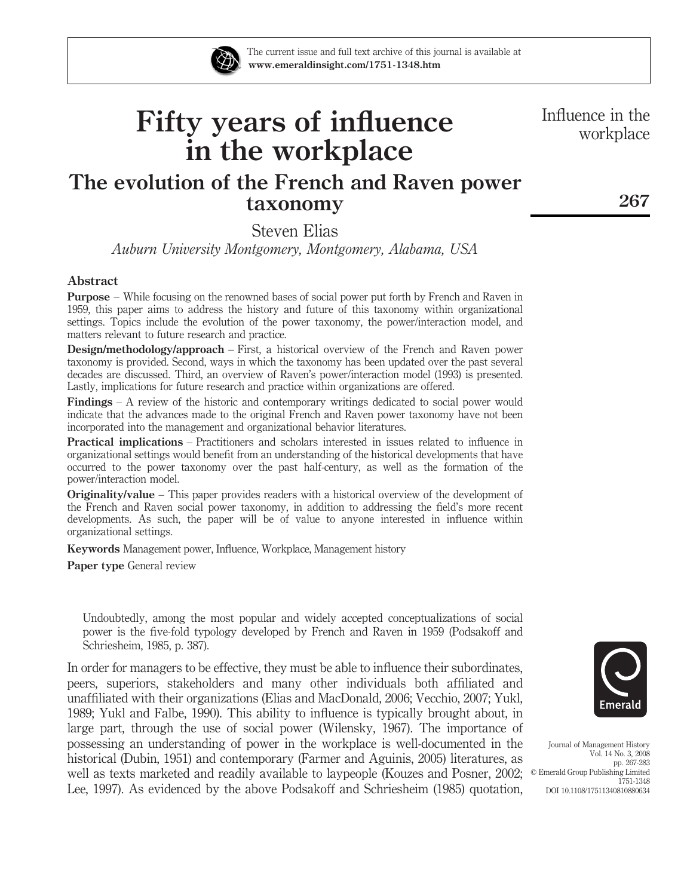

The current issue and full text archive of this journal is available at www.emeraldinsight.com/1751-1348.htm

# Fifty years of influence in the workplace

# The evolution of the French and Raven power taxonomy

Steven Elias

Auburn University Montgomery, Montgomery, Alabama, USA

#### Abstract

Purpose – While focusing on the renowned bases of social power put forth by French and Raven in 1959, this paper aims to address the history and future of this taxonomy within organizational settings. Topics include the evolution of the power taxonomy, the power/interaction model, and matters relevant to future research and practice.

Design/methodology/approach – First, a historical overview of the French and Raven power taxonomy is provided. Second, ways in which the taxonomy has been updated over the past several decades are discussed. Third, an overview of Raven's power/interaction model (1993) is presented. Lastly, implications for future research and practice within organizations are offered.

Findings – A review of the historic and contemporary writings dedicated to social power would indicate that the advances made to the original French and Raven power taxonomy have not been incorporated into the management and organizational behavior literatures.

Practical implications – Practitioners and scholars interested in issues related to influence in organizational settings would benefit from an understanding of the historical developments that have occurred to the power taxonomy over the past half-century, as well as the formation of the power/interaction model.

Originality/value – This paper provides readers with a historical overview of the development of the French and Raven social power taxonomy, in addition to addressing the field's more recent developments. As such, the paper will be of value to anyone interested in influence within organizational settings.

Keywords Management power, Influence, Workplace, Management history

Paper type General review

Undoubtedly, among the most popular and widely accepted conceptualizations of social power is the five-fold typology developed by French and Raven in 1959 (Podsakoff and Schriesheim, 1985, p. 387).

In order for managers to be effective, they must be able to influence their subordinates, peers, superiors, stakeholders and many other individuals both affiliated and unaffiliated with their organizations (Elias and MacDonald, 2006; Vecchio, 2007; Yukl, 1989; Yukl and Falbe, 1990). This ability to influence is typically brought about, in large part, through the use of social power (Wilensky, 1967). The importance of possessing an understanding of power in the workplace is well-documented in the historical (Dubin, 1951) and contemporary (Farmer and Aguinis, 2005) literatures, as well as texts marketed and readily available to laypeople (Kouzes and Posner, 2002;  $\circ$  Emerald Group Publishing Limited Lee, 1997). As evidenced by the above Podsakoff and Schriesheim (1985) quotation,



Journal of Management History Vol. 14 No. 3, 2008 pp. 267-283 1751-1348 DOI 10.1108/17511340810880634

Influence in the workplace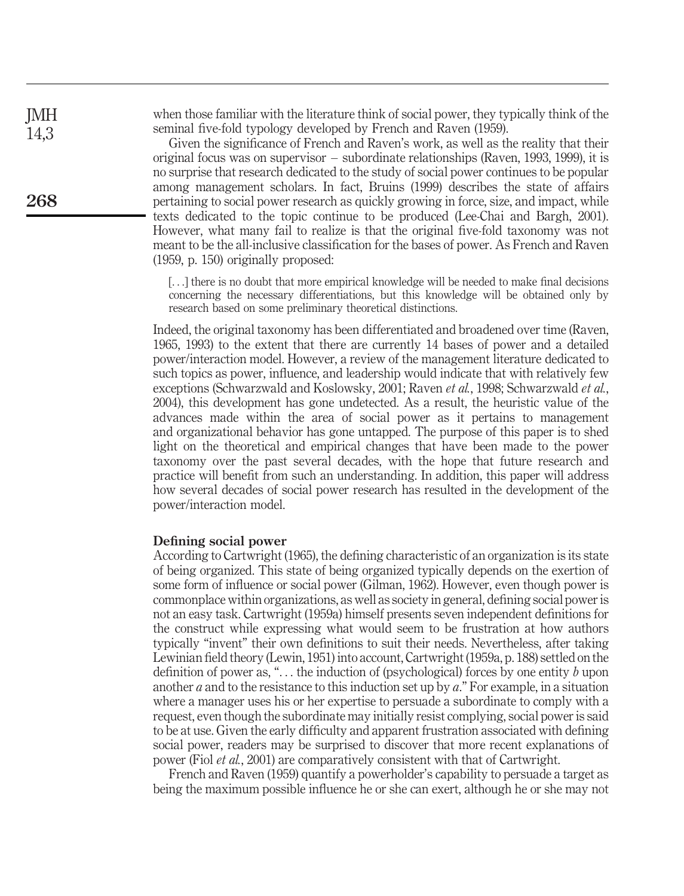when those familiar with the literature think of social power, they typically think of the seminal five-fold typology developed by French and Raven (1959).

Given the significance of French and Raven's work, as well as the reality that their original focus was on supervisor – subordinate relationships (Raven, 1993, 1999), it is no surprise that research dedicated to the study of social power continues to be popular among management scholars. In fact, Bruins (1999) describes the state of affairs pertaining to social power research as quickly growing in force, size, and impact, while texts dedicated to the topic continue to be produced (Lee-Chai and Bargh, 2001). However, what many fail to realize is that the original five-fold taxonomy was not meant to be the all-inclusive classification for the bases of power. As French and Raven (1959, p. 150) originally proposed:

[...] there is no doubt that more empirical knowledge will be needed to make final decisions concerning the necessary differentiations, but this knowledge will be obtained only by research based on some preliminary theoretical distinctions.

Indeed, the original taxonomy has been differentiated and broadened over time (Raven, 1965, 1993) to the extent that there are currently 14 bases of power and a detailed power/interaction model. However, a review of the management literature dedicated to such topics as power, influence, and leadership would indicate that with relatively few exceptions (Schwarzwald and Koslowsky, 2001; Raven et al., 1998; Schwarzwald et al., 2004), this development has gone undetected. As a result, the heuristic value of the advances made within the area of social power as it pertains to management and organizational behavior has gone untapped. The purpose of this paper is to shed light on the theoretical and empirical changes that have been made to the power taxonomy over the past several decades, with the hope that future research and practice will benefit from such an understanding. In addition, this paper will address how several decades of social power research has resulted in the development of the power/interaction model.

#### Defining social power

According to Cartwright (1965), the defining characteristic of an organization is its state of being organized. This state of being organized typically depends on the exertion of some form of influence or social power (Gilman, 1962). However, even though power is commonplace within organizations, as well as society in general, defining social power is not an easy task. Cartwright (1959a) himself presents seven independent definitions for the construct while expressing what would seem to be frustration at how authors typically "invent" their own definitions to suit their needs. Nevertheless, after taking Lewinian field theory (Lewin, 1951) into account, Cartwright (1959a, p. 188) settled on the definition of power as, " $\dots$  the induction of (psychological) forces by one entity b upon another a and to the resistance to this induction set up by  $a$ ." For example, in a situation where a manager uses his or her expertise to persuade a subordinate to comply with a request, even though the subordinate may initially resist complying, social power is said to be at use. Given the early difficulty and apparent frustration associated with defining social power, readers may be surprised to discover that more recent explanations of power (Fiol et al., 2001) are comparatively consistent with that of Cartwright.

French and Raven (1959) quantify a powerholder's capability to persuade a target as being the maximum possible influence he or she can exert, although he or she may not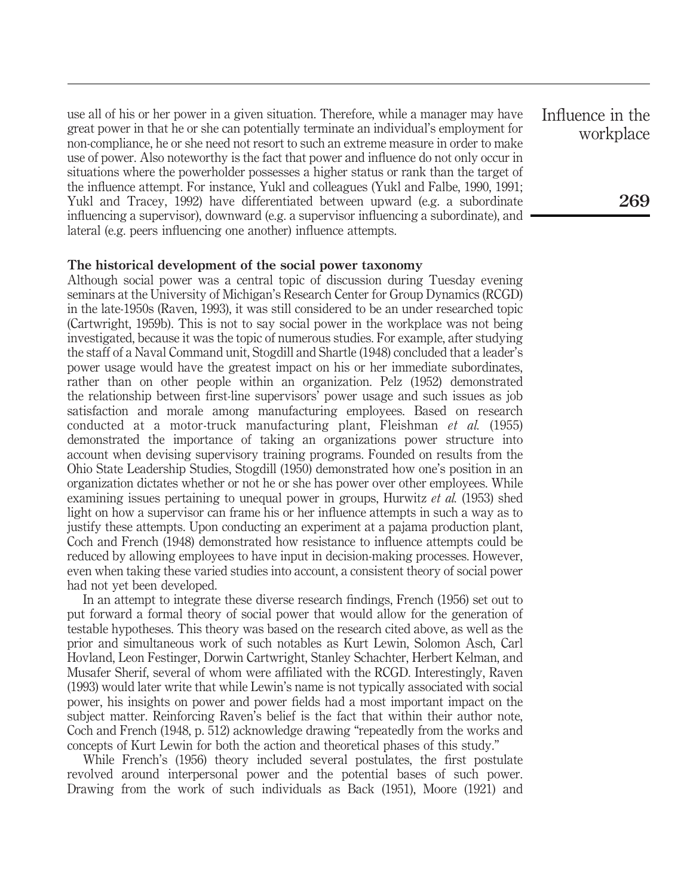use all of his or her power in a given situation. Therefore, while a manager may have great power in that he or she can potentially terminate an individual's employment for non-compliance, he or she need not resort to such an extreme measure in order to make use of power. Also noteworthy is the fact that power and influence do not only occur in situations where the powerholder possesses a higher status or rank than the target of the influence attempt. For instance, Yukl and colleagues (Yukl and Falbe, 1990, 1991; Yukl and Tracey, 1992) have differentiated between upward (e.g. a subordinate influencing a supervisor), downward (e.g. a supervisor influencing a subordinate), and lateral (e.g. peers influencing one another) influence attempts.

# The historical development of the social power taxonomy

Although social power was a central topic of discussion during Tuesday evening seminars at the University of Michigan's Research Center for Group Dynamics (RCGD) in the late-1950s (Raven, 1993), it was still considered to be an under researched topic (Cartwright, 1959b). This is not to say social power in the workplace was not being investigated, because it was the topic of numerous studies. For example, after studying the staff of a Naval Command unit, Stogdill and Shartle (1948) concluded that a leader's power usage would have the greatest impact on his or her immediate subordinates, rather than on other people within an organization. Pelz (1952) demonstrated the relationship between first-line supervisors' power usage and such issues as job satisfaction and morale among manufacturing employees. Based on research conducted at a motor-truck manufacturing plant, Fleishman *et al.* (1955) demonstrated the importance of taking an organizations power structure into account when devising supervisory training programs. Founded on results from the Ohio State Leadership Studies, Stogdill (1950) demonstrated how one's position in an organization dictates whether or not he or she has power over other employees. While examining issues pertaining to unequal power in groups, Hurwitz et al. (1953) shed light on how a supervisor can frame his or her influence attempts in such a way as to justify these attempts. Upon conducting an experiment at a pajama production plant, Coch and French (1948) demonstrated how resistance to influence attempts could be reduced by allowing employees to have input in decision-making processes. However, even when taking these varied studies into account, a consistent theory of social power had not yet been developed.

In an attempt to integrate these diverse research findings, French (1956) set out to put forward a formal theory of social power that would allow for the generation of testable hypotheses. This theory was based on the research cited above, as well as the prior and simultaneous work of such notables as Kurt Lewin, Solomon Asch, Carl Hovland, Leon Festinger, Dorwin Cartwright, Stanley Schachter, Herbert Kelman, and Musafer Sherif, several of whom were affiliated with the RCGD. Interestingly, Raven (1993) would later write that while Lewin's name is not typically associated with social power, his insights on power and power fields had a most important impact on the subject matter. Reinforcing Raven's belief is the fact that within their author note, Coch and French (1948, p. 512) acknowledge drawing "repeatedly from the works and concepts of Kurt Lewin for both the action and theoretical phases of this study."

While French's (1956) theory included several postulates, the first postulate revolved around interpersonal power and the potential bases of such power. Drawing from the work of such individuals as Back (1951), Moore (1921) and Influence in the workplace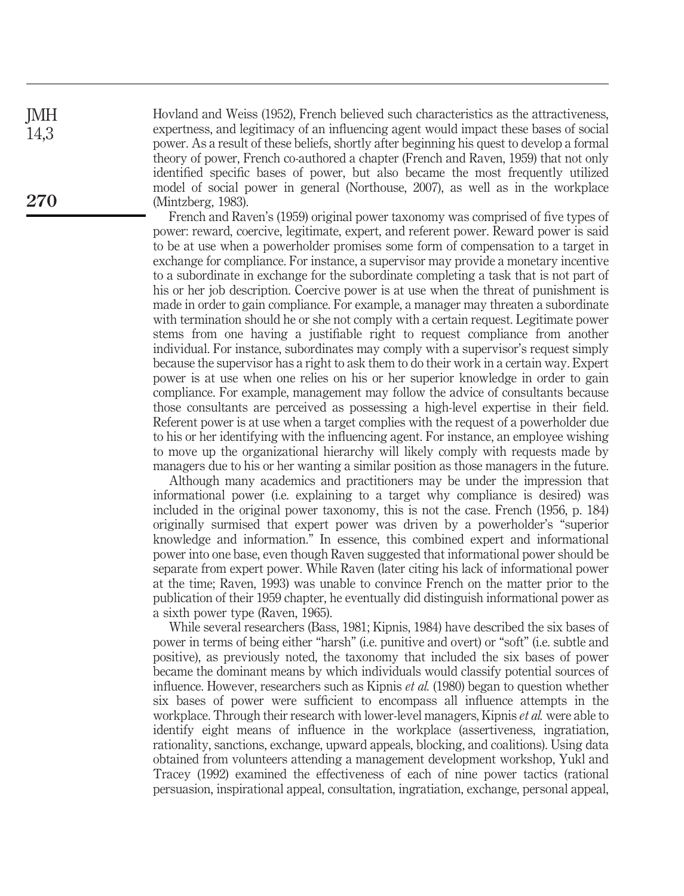Hovland and Weiss (1952), French believed such characteristics as the attractiveness, expertness, and legitimacy of an influencing agent would impact these bases of social power. As a result of these beliefs, shortly after beginning his quest to develop a formal theory of power, French co-authored a chapter (French and Raven, 1959) that not only identified specific bases of power, but also became the most frequently utilized model of social power in general (Northouse, 2007), as well as in the workplace (Mintzberg, 1983).

French and Raven's (1959) original power taxonomy was comprised of five types of power: reward, coercive, legitimate, expert, and referent power. Reward power is said to be at use when a powerholder promises some form of compensation to a target in exchange for compliance. For instance, a supervisor may provide a monetary incentive to a subordinate in exchange for the subordinate completing a task that is not part of his or her job description. Coercive power is at use when the threat of punishment is made in order to gain compliance. For example, a manager may threaten a subordinate with termination should he or she not comply with a certain request. Legitimate power stems from one having a justifiable right to request compliance from another individual. For instance, subordinates may comply with a supervisor's request simply because the supervisor has a right to ask them to do their work in a certain way. Expert power is at use when one relies on his or her superior knowledge in order to gain compliance. For example, management may follow the advice of consultants because those consultants are perceived as possessing a high-level expertise in their field. Referent power is at use when a target complies with the request of a powerholder due to his or her identifying with the influencing agent. For instance, an employee wishing to move up the organizational hierarchy will likely comply with requests made by managers due to his or her wanting a similar position as those managers in the future.

Although many academics and practitioners may be under the impression that informational power (i.e. explaining to a target why compliance is desired) was included in the original power taxonomy, this is not the case. French (1956, p. 184) originally surmised that expert power was driven by a powerholder's "superior knowledge and information." In essence, this combined expert and informational power into one base, even though Raven suggested that informational power should be separate from expert power. While Raven (later citing his lack of informational power at the time; Raven, 1993) was unable to convince French on the matter prior to the publication of their 1959 chapter, he eventually did distinguish informational power as a sixth power type (Raven, 1965).

While several researchers (Bass, 1981; Kipnis, 1984) have described the six bases of power in terms of being either "harsh" (i.e. punitive and overt) or "soft" (i.e. subtle and positive), as previously noted, the taxonomy that included the six bases of power became the dominant means by which individuals would classify potential sources of influence. However, researchers such as Kipnis *et al.* (1980) began to question whether six bases of power were sufficient to encompass all influence attempts in the workplace. Through their research with lower-level managers, Kipnis *et al.* were able to identify eight means of influence in the workplace (assertiveness, ingratiation, rationality, sanctions, exchange, upward appeals, blocking, and coalitions). Using data obtained from volunteers attending a management development workshop, Yukl and Tracey (1992) examined the effectiveness of each of nine power tactics (rational persuasion, inspirational appeal, consultation, ingratiation, exchange, personal appeal,

270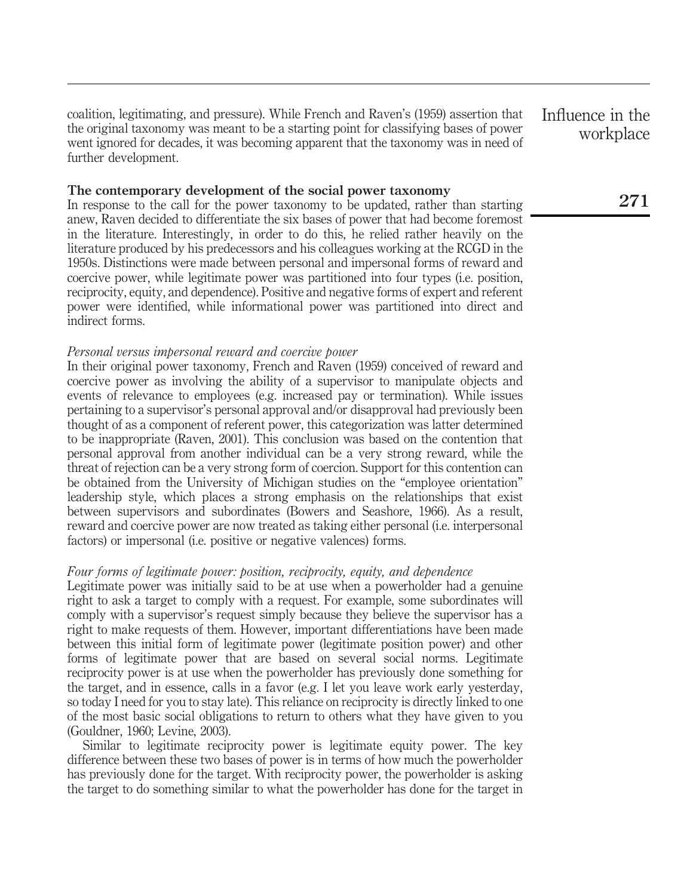coalition, legitimating, and pressure). While French and Raven's (1959) assertion that the original taxonomy was meant to be a starting point for classifying bases of power went ignored for decades, it was becoming apparent that the taxonomy was in need of further development.

#### The contemporary development of the social power taxonomy

In response to the call for the power taxonomy to be updated, rather than starting anew, Raven decided to differentiate the six bases of power that had become foremost in the literature. Interestingly, in order to do this, he relied rather heavily on the literature produced by his predecessors and his colleagues working at the RCGD in the 1950s. Distinctions were made between personal and impersonal forms of reward and coercive power, while legitimate power was partitioned into four types (i.e. position, reciprocity, equity, and dependence). Positive and negative forms of expert and referent power were identified, while informational power was partitioned into direct and indirect forms.

#### Personal versus impersonal reward and coercive power

In their original power taxonomy, French and Raven (1959) conceived of reward and coercive power as involving the ability of a supervisor to manipulate objects and events of relevance to employees (e.g. increased pay or termination). While issues pertaining to a supervisor's personal approval and/or disapproval had previously been thought of as a component of referent power, this categorization was latter determined to be inappropriate (Raven, 2001). This conclusion was based on the contention that personal approval from another individual can be a very strong reward, while the threat of rejection can be a very strong form of coercion. Support for this contention can be obtained from the University of Michigan studies on the "employee orientation" leadership style, which places a strong emphasis on the relationships that exist between supervisors and subordinates (Bowers and Seashore, 1966). As a result, reward and coercive power are now treated as taking either personal (i.e. interpersonal factors) or impersonal (i.e. positive or negative valences) forms.

# Four forms of legitimate power: position, reciprocity, equity, and dependence

Legitimate power was initially said to be at use when a powerholder had a genuine right to ask a target to comply with a request. For example, some subordinates will comply with a supervisor's request simply because they believe the supervisor has a right to make requests of them. However, important differentiations have been made between this initial form of legitimate power (legitimate position power) and other forms of legitimate power that are based on several social norms. Legitimate reciprocity power is at use when the powerholder has previously done something for the target, and in essence, calls in a favor (e.g. I let you leave work early yesterday, so today I need for you to stay late). This reliance on reciprocity is directly linked to one of the most basic social obligations to return to others what they have given to you (Gouldner, 1960; Levine, 2003).

Similar to legitimate reciprocity power is legitimate equity power. The key difference between these two bases of power is in terms of how much the powerholder has previously done for the target. With reciprocity power, the powerholder is asking the target to do something similar to what the powerholder has done for the target in Influence in the workplace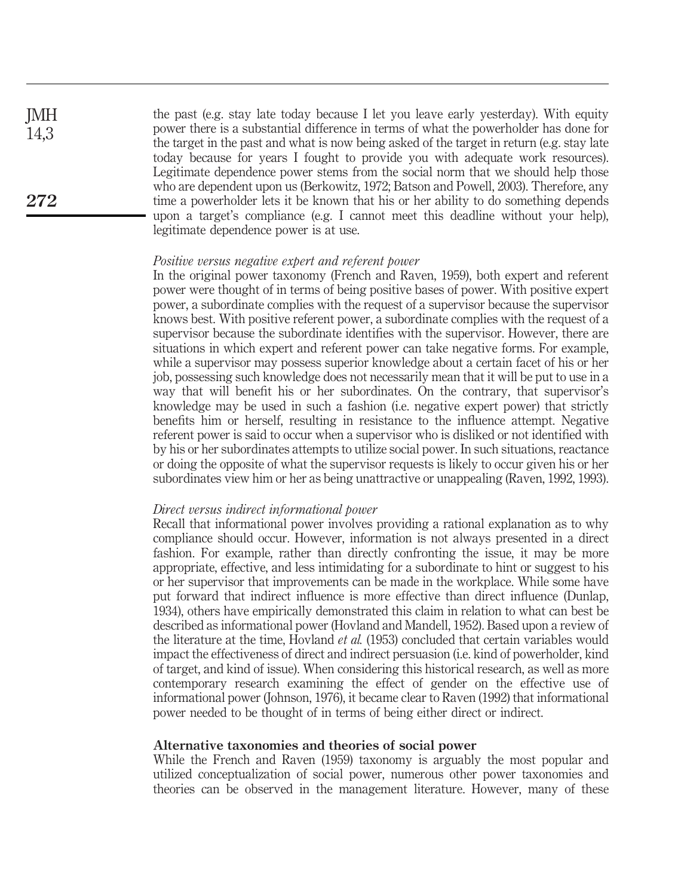the past (e.g. stay late today because I let you leave early yesterday). With equity power there is a substantial difference in terms of what the powerholder has done for the target in the past and what is now being asked of the target in return (e.g. stay late today because for years I fought to provide you with adequate work resources). Legitimate dependence power stems from the social norm that we should help those who are dependent upon us (Berkowitz, 1972; Batson and Powell, 2003). Therefore, any time a powerholder lets it be known that his or her ability to do something depends upon a target's compliance (e.g. I cannot meet this deadline without your help), legitimate dependence power is at use. JMH 14,3 272

# Positive versus negative expert and referent power

In the original power taxonomy (French and Raven, 1959), both expert and referent power were thought of in terms of being positive bases of power. With positive expert power, a subordinate complies with the request of a supervisor because the supervisor knows best. With positive referent power, a subordinate complies with the request of a supervisor because the subordinate identifies with the supervisor. However, there are situations in which expert and referent power can take negative forms. For example, while a supervisor may possess superior knowledge about a certain facet of his or her job, possessing such knowledge does not necessarily mean that it will be put to use in a way that will benefit his or her subordinates. On the contrary, that supervisor's knowledge may be used in such a fashion (i.e. negative expert power) that strictly benefits him or herself, resulting in resistance to the influence attempt. Negative referent power is said to occur when a supervisor who is disliked or not identified with by his or her subordinates attempts to utilize social power. In such situations, reactance or doing the opposite of what the supervisor requests is likely to occur given his or her subordinates view him or her as being unattractive or unappealing (Raven, 1992, 1993).

#### Direct versus indirect informational power

Recall that informational power involves providing a rational explanation as to why compliance should occur. However, information is not always presented in a direct fashion. For example, rather than directly confronting the issue, it may be more appropriate, effective, and less intimidating for a subordinate to hint or suggest to his or her supervisor that improvements can be made in the workplace. While some have put forward that indirect influence is more effective than direct influence (Dunlap, 1934), others have empirically demonstrated this claim in relation to what can best be described as informational power (Hovland and Mandell, 1952). Based upon a review of the literature at the time, Hovland *et al.* (1953) concluded that certain variables would impact the effectiveness of direct and indirect persuasion (i.e. kind of powerholder, kind of target, and kind of issue). When considering this historical research, as well as more contemporary research examining the effect of gender on the effective use of informational power (Johnson, 1976), it became clear to Raven (1992) that informational power needed to be thought of in terms of being either direct or indirect.

#### Alternative taxonomies and theories of social power

While the French and Raven (1959) taxonomy is arguably the most popular and utilized conceptualization of social power, numerous other power taxonomies and theories can be observed in the management literature. However, many of these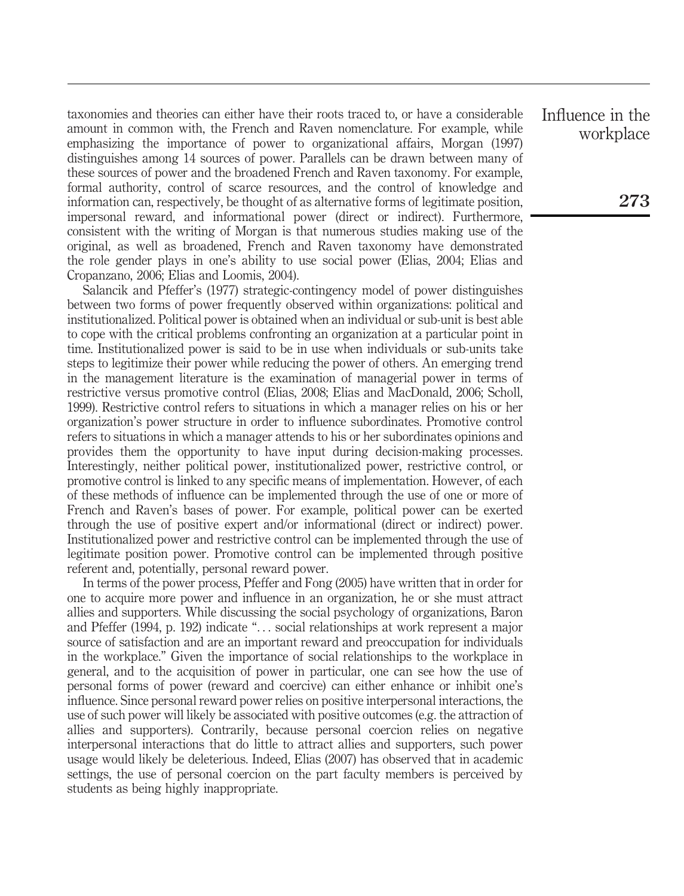taxonomies and theories can either have their roots traced to, or have a considerable amount in common with, the French and Raven nomenclature. For example, while emphasizing the importance of power to organizational affairs, Morgan (1997) distinguishes among 14 sources of power. Parallels can be drawn between many of these sources of power and the broadened French and Raven taxonomy. For example, formal authority, control of scarce resources, and the control of knowledge and information can, respectively, be thought of as alternative forms of legitimate position, impersonal reward, and informational power (direct or indirect). Furthermore, consistent with the writing of Morgan is that numerous studies making use of the original, as well as broadened, French and Raven taxonomy have demonstrated the role gender plays in one's ability to use social power (Elias, 2004; Elias and Cropanzano, 2006; Elias and Loomis, 2004).

Salancik and Pfeffer's (1977) strategic-contingency model of power distinguishes between two forms of power frequently observed within organizations: political and institutionalized. Political power is obtained when an individual or sub-unit is best able to cope with the critical problems confronting an organization at a particular point in time. Institutionalized power is said to be in use when individuals or sub-units take steps to legitimize their power while reducing the power of others. An emerging trend in the management literature is the examination of managerial power in terms of restrictive versus promotive control (Elias, 2008; Elias and MacDonald, 2006; Scholl, 1999). Restrictive control refers to situations in which a manager relies on his or her organization's power structure in order to influence subordinates. Promotive control refers to situations in which a manager attends to his or her subordinates opinions and provides them the opportunity to have input during decision-making processes. Interestingly, neither political power, institutionalized power, restrictive control, or promotive control is linked to any specific means of implementation. However, of each of these methods of influence can be implemented through the use of one or more of French and Raven's bases of power. For example, political power can be exerted through the use of positive expert and/or informational (direct or indirect) power. Institutionalized power and restrictive control can be implemented through the use of legitimate position power. Promotive control can be implemented through positive referent and, potentially, personal reward power.

In terms of the power process, Pfeffer and Fong (2005) have written that in order for one to acquire more power and influence in an organization, he or she must attract allies and supporters. While discussing the social psychology of organizations, Baron and Pfeffer (1994, p. 192) indicate "... social relationships at work represent a major source of satisfaction and are an important reward and preoccupation for individuals in the workplace." Given the importance of social relationships to the workplace in general, and to the acquisition of power in particular, one can see how the use of personal forms of power (reward and coercive) can either enhance or inhibit one's influence. Since personal reward power relies on positive interpersonal interactions, the use of such power will likely be associated with positive outcomes (e.g. the attraction of allies and supporters). Contrarily, because personal coercion relies on negative interpersonal interactions that do little to attract allies and supporters, such power usage would likely be deleterious. Indeed, Elias (2007) has observed that in academic settings, the use of personal coercion on the part faculty members is perceived by students as being highly inappropriate.

Influence in the workplace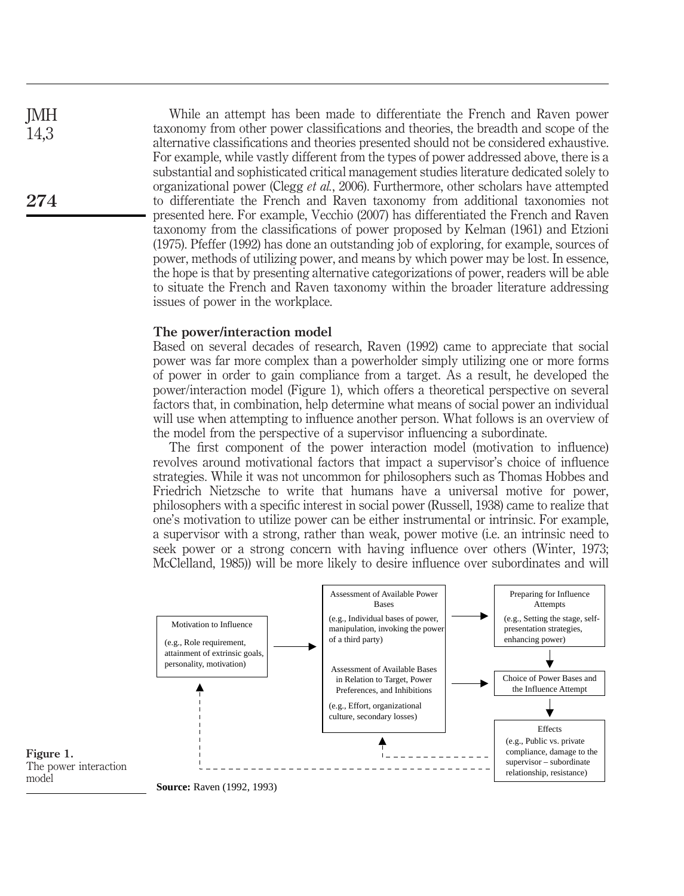While an attempt has been made to differentiate the French and Raven power taxonomy from other power classifications and theories, the breadth and scope of the alternative classifications and theories presented should not be considered exhaustive. For example, while vastly different from the types of power addressed above, there is a substantial and sophisticated critical management studies literature dedicated solely to organizational power (Clegg et al., 2006). Furthermore, other scholars have attempted to differentiate the French and Raven taxonomy from additional taxonomies not presented here. For example, Vecchio (2007) has differentiated the French and Raven taxonomy from the classifications of power proposed by Kelman (1961) and Etzioni (1975). Pfeffer (1992) has done an outstanding job of exploring, for example, sources of power, methods of utilizing power, and means by which power may be lost. In essence, the hope is that by presenting alternative categorizations of power, readers will be able to situate the French and Raven taxonomy within the broader literature addressing issues of power in the workplace.

#### The power/interaction model

Based on several decades of research, Raven (1992) came to appreciate that social power was far more complex than a powerholder simply utilizing one or more forms of power in order to gain compliance from a target. As a result, he developed the power/interaction model (Figure 1), which offers a theoretical perspective on several factors that, in combination, help determine what means of social power an individual will use when attempting to influence another person. What follows is an overview of the model from the perspective of a supervisor influencing a subordinate.

The first component of the power interaction model (motivation to influence) revolves around motivational factors that impact a supervisor's choice of influence strategies. While it was not uncommon for philosophers such as Thomas Hobbes and Friedrich Nietzsche to write that humans have a universal motive for power, philosophers with a specific interest in social power (Russell, 1938) came to realize that one's motivation to utilize power can be either instrumental or intrinsic. For example, a supervisor with a strong, rather than weak, power motive (i.e. an intrinsic need to seek power or a strong concern with having influence over others (Winter, 1973; McClelland, 1985)) will be more likely to desire influence over subordinates and will



JMH 14,3

Figure 1.

model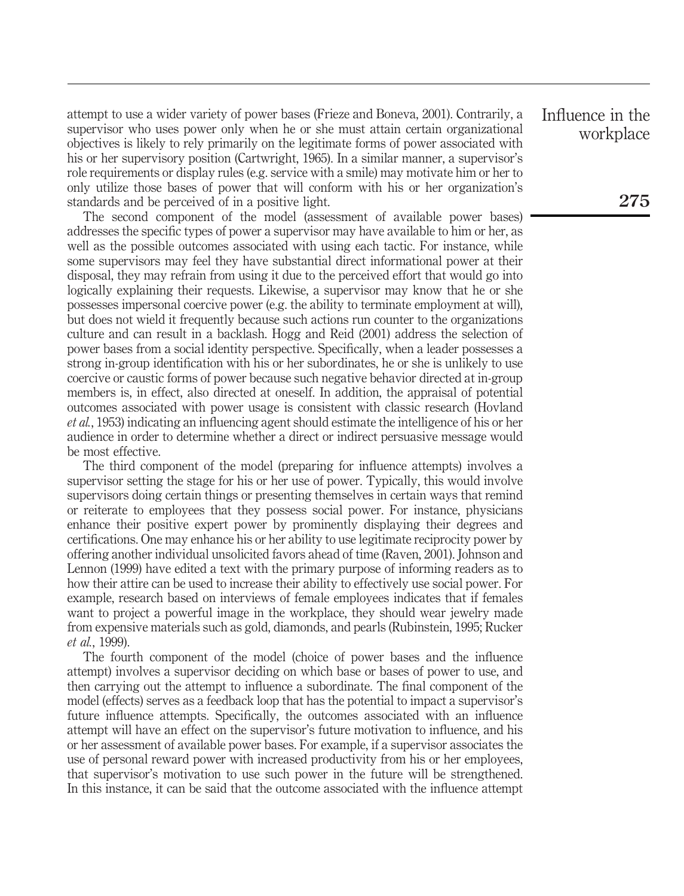attempt to use a wider variety of power bases (Frieze and Boneva, 2001). Contrarily, a supervisor who uses power only when he or she must attain certain organizational objectives is likely to rely primarily on the legitimate forms of power associated with his or her supervisory position (Cartwright, 1965). In a similar manner, a supervisor's role requirements or display rules (e.g. service with a smile) may motivate him or her to only utilize those bases of power that will conform with his or her organization's standards and be perceived of in a positive light.

The second component of the model (assessment of available power bases) addresses the specific types of power a supervisor may have available to him or her, as well as the possible outcomes associated with using each tactic. For instance, while some supervisors may feel they have substantial direct informational power at their disposal, they may refrain from using it due to the perceived effort that would go into logically explaining their requests. Likewise, a supervisor may know that he or she possesses impersonal coercive power (e.g. the ability to terminate employment at will), but does not wield it frequently because such actions run counter to the organizations culture and can result in a backlash. Hogg and Reid (2001) address the selection of power bases from a social identity perspective. Specifically, when a leader possesses a strong in-group identification with his or her subordinates, he or she is unlikely to use coercive or caustic forms of power because such negative behavior directed at in-group members is, in effect, also directed at oneself. In addition, the appraisal of potential outcomes associated with power usage is consistent with classic research (Hovland et al., 1953) indicating an influencing agent should estimate the intelligence of his or her audience in order to determine whether a direct or indirect persuasive message would be most effective.

The third component of the model (preparing for influence attempts) involves a supervisor setting the stage for his or her use of power. Typically, this would involve supervisors doing certain things or presenting themselves in certain ways that remind or reiterate to employees that they possess social power. For instance, physicians enhance their positive expert power by prominently displaying their degrees and certifications. One may enhance his or her ability to use legitimate reciprocity power by offering another individual unsolicited favors ahead of time (Raven, 2001). Johnson and Lennon (1999) have edited a text with the primary purpose of informing readers as to how their attire can be used to increase their ability to effectively use social power. For example, research based on interviews of female employees indicates that if females want to project a powerful image in the workplace, they should wear jewelry made from expensive materials such as gold, diamonds, and pearls (Rubinstein, 1995; Rucker et al., 1999).

The fourth component of the model (choice of power bases and the influence attempt) involves a supervisor deciding on which base or bases of power to use, and then carrying out the attempt to influence a subordinate. The final component of the model (effects) serves as a feedback loop that has the potential to impact a supervisor's future influence attempts. Specifically, the outcomes associated with an influence attempt will have an effect on the supervisor's future motivation to influence, and his or her assessment of available power bases. For example, if a supervisor associates the use of personal reward power with increased productivity from his or her employees, that supervisor's motivation to use such power in the future will be strengthened. In this instance, it can be said that the outcome associated with the influence attempt Influence in the workplace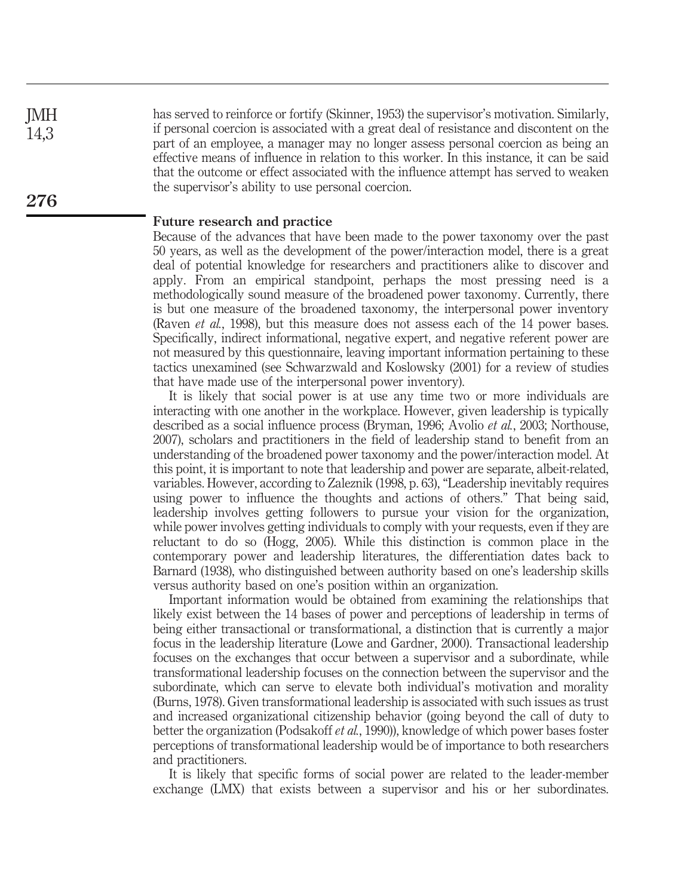has served to reinforce or fortify (Skinner, 1953) the supervisor's motivation. Similarly, if personal coercion is associated with a great deal of resistance and discontent on the part of an employee, a manager may no longer assess personal coercion as being an effective means of influence in relation to this worker. In this instance, it can be said that the outcome or effect associated with the influence attempt has served to weaken the supervisor's ability to use personal coercion.

# Future research and practice

Because of the advances that have been made to the power taxonomy over the past 50 years, as well as the development of the power/interaction model, there is a great deal of potential knowledge for researchers and practitioners alike to discover and apply. From an empirical standpoint, perhaps the most pressing need is a methodologically sound measure of the broadened power taxonomy. Currently, there is but one measure of the broadened taxonomy, the interpersonal power inventory (Raven et al., 1998), but this measure does not assess each of the 14 power bases. Specifically, indirect informational, negative expert, and negative referent power are not measured by this questionnaire, leaving important information pertaining to these tactics unexamined (see Schwarzwald and Koslowsky (2001) for a review of studies that have made use of the interpersonal power inventory).

It is likely that social power is at use any time two or more individuals are interacting with one another in the workplace. However, given leadership is typically described as a social influence process (Bryman, 1996; Avolio et al., 2003; Northouse, 2007), scholars and practitioners in the field of leadership stand to benefit from an understanding of the broadened power taxonomy and the power/interaction model. At this point, it is important to note that leadership and power are separate, albeit-related, variables. However, according to Zaleznik (1998, p. 63), "Leadership inevitably requires using power to influence the thoughts and actions of others." That being said, leadership involves getting followers to pursue your vision for the organization, while power involves getting individuals to comply with your requests, even if they are reluctant to do so (Hogg, 2005). While this distinction is common place in the contemporary power and leadership literatures, the differentiation dates back to Barnard (1938), who distinguished between authority based on one's leadership skills versus authority based on one's position within an organization.

Important information would be obtained from examining the relationships that likely exist between the 14 bases of power and perceptions of leadership in terms of being either transactional or transformational, a distinction that is currently a major focus in the leadership literature (Lowe and Gardner, 2000). Transactional leadership focuses on the exchanges that occur between a supervisor and a subordinate, while transformational leadership focuses on the connection between the supervisor and the subordinate, which can serve to elevate both individual's motivation and morality (Burns, 1978). Given transformational leadership is associated with such issues as trust and increased organizational citizenship behavior (going beyond the call of duty to better the organization (Podsakoff et al., 1990)), knowledge of which power bases foster perceptions of transformational leadership would be of importance to both researchers and practitioners.

It is likely that specific forms of social power are related to the leader-member exchange (LMX) that exists between a supervisor and his or her subordinates.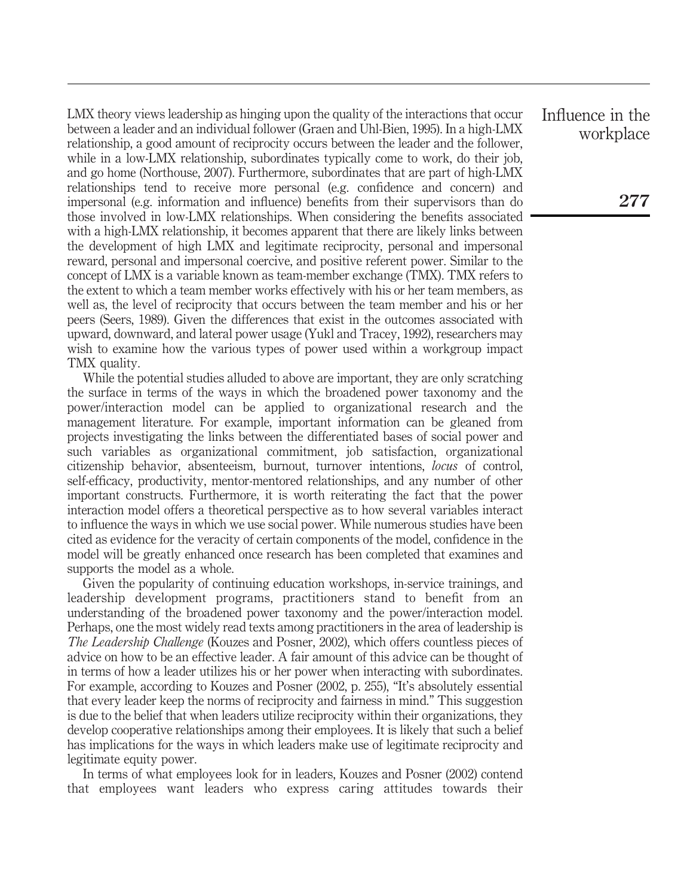LMX theory views leadership as hinging upon the quality of the interactions that occur between a leader and an individual follower (Graen and Uhl-Bien, 1995). In a high-LMX relationship, a good amount of reciprocity occurs between the leader and the follower, while in a low-LMX relationship, subordinates typically come to work, do their job, and go home (Northouse, 2007). Furthermore, subordinates that are part of high-LMX relationships tend to receive more personal (e.g. confidence and concern) and impersonal (e.g. information and influence) benefits from their supervisors than do those involved in low-LMX relationships. When considering the benefits associated with a high-LMX relationship, it becomes apparent that there are likely links between the development of high LMX and legitimate reciprocity, personal and impersonal reward, personal and impersonal coercive, and positive referent power. Similar to the concept of LMX is a variable known as team-member exchange (TMX). TMX refers to the extent to which a team member works effectively with his or her team members, as well as, the level of reciprocity that occurs between the team member and his or her peers (Seers, 1989). Given the differences that exist in the outcomes associated with upward, downward, and lateral power usage (Yukl and Tracey, 1992), researchers may wish to examine how the various types of power used within a workgroup impact TMX quality.

While the potential studies alluded to above are important, they are only scratching the surface in terms of the ways in which the broadened power taxonomy and the power/interaction model can be applied to organizational research and the management literature. For example, important information can be gleaned from projects investigating the links between the differentiated bases of social power and such variables as organizational commitment, job satisfaction, organizational citizenship behavior, absenteeism, burnout, turnover intentions, locus of control, self-efficacy, productivity, mentor-mentored relationships, and any number of other important constructs. Furthermore, it is worth reiterating the fact that the power interaction model offers a theoretical perspective as to how several variables interact to influence the ways in which we use social power. While numerous studies have been cited as evidence for the veracity of certain components of the model, confidence in the model will be greatly enhanced once research has been completed that examines and supports the model as a whole.

Given the popularity of continuing education workshops, in-service trainings, and leadership development programs, practitioners stand to benefit from an understanding of the broadened power taxonomy and the power/interaction model. Perhaps, one the most widely read texts among practitioners in the area of leadership is The Leadership Challenge (Kouzes and Posner, 2002), which offers countless pieces of advice on how to be an effective leader. A fair amount of this advice can be thought of in terms of how a leader utilizes his or her power when interacting with subordinates. For example, according to Kouzes and Posner (2002, p. 255), "It's absolutely essential that every leader keep the norms of reciprocity and fairness in mind." This suggestion is due to the belief that when leaders utilize reciprocity within their organizations, they develop cooperative relationships among their employees. It is likely that such a belief has implications for the ways in which leaders make use of legitimate reciprocity and legitimate equity power.

In terms of what employees look for in leaders, Kouzes and Posner (2002) contend that employees want leaders who express caring attitudes towards their Influence in the workplace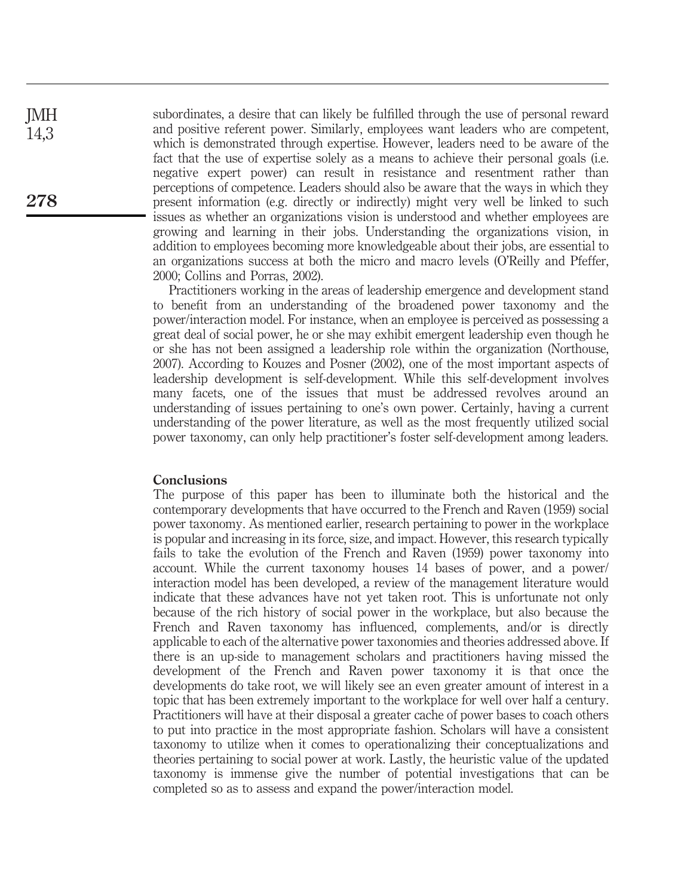subordinates, a desire that can likely be fulfilled through the use of personal reward and positive referent power. Similarly, employees want leaders who are competent, which is demonstrated through expertise. However, leaders need to be aware of the fact that the use of expertise solely as a means to achieve their personal goals (i.e. negative expert power) can result in resistance and resentment rather than perceptions of competence. Leaders should also be aware that the ways in which they present information (e.g. directly or indirectly) might very well be linked to such issues as whether an organizations vision is understood and whether employees are growing and learning in their jobs. Understanding the organizations vision, in addition to employees becoming more knowledgeable about their jobs, are essential to an organizations success at both the micro and macro levels (O'Reilly and Pfeffer, 2000; Collins and Porras, 2002).

Practitioners working in the areas of leadership emergence and development stand to benefit from an understanding of the broadened power taxonomy and the power/interaction model. For instance, when an employee is perceived as possessing a great deal of social power, he or she may exhibit emergent leadership even though he or she has not been assigned a leadership role within the organization (Northouse, 2007). According to Kouzes and Posner (2002), one of the most important aspects of leadership development is self-development. While this self-development involves many facets, one of the issues that must be addressed revolves around an understanding of issues pertaining to one's own power. Certainly, having a current understanding of the power literature, as well as the most frequently utilized social power taxonomy, can only help practitioner's foster self-development among leaders.

#### **Conclusions**

The purpose of this paper has been to illuminate both the historical and the contemporary developments that have occurred to the French and Raven (1959) social power taxonomy. As mentioned earlier, research pertaining to power in the workplace is popular and increasing in its force, size, and impact. However, this research typically fails to take the evolution of the French and Raven (1959) power taxonomy into account. While the current taxonomy houses 14 bases of power, and a power/ interaction model has been developed, a review of the management literature would indicate that these advances have not yet taken root. This is unfortunate not only because of the rich history of social power in the workplace, but also because the French and Raven taxonomy has influenced, complements, and/or is directly applicable to each of the alternative power taxonomies and theories addressed above. If there is an up-side to management scholars and practitioners having missed the development of the French and Raven power taxonomy it is that once the developments do take root, we will likely see an even greater amount of interest in a topic that has been extremely important to the workplace for well over half a century. Practitioners will have at their disposal a greater cache of power bases to coach others to put into practice in the most appropriate fashion. Scholars will have a consistent taxonomy to utilize when it comes to operationalizing their conceptualizations and theories pertaining to social power at work. Lastly, the heuristic value of the updated taxonomy is immense give the number of potential investigations that can be completed so as to assess and expand the power/interaction model.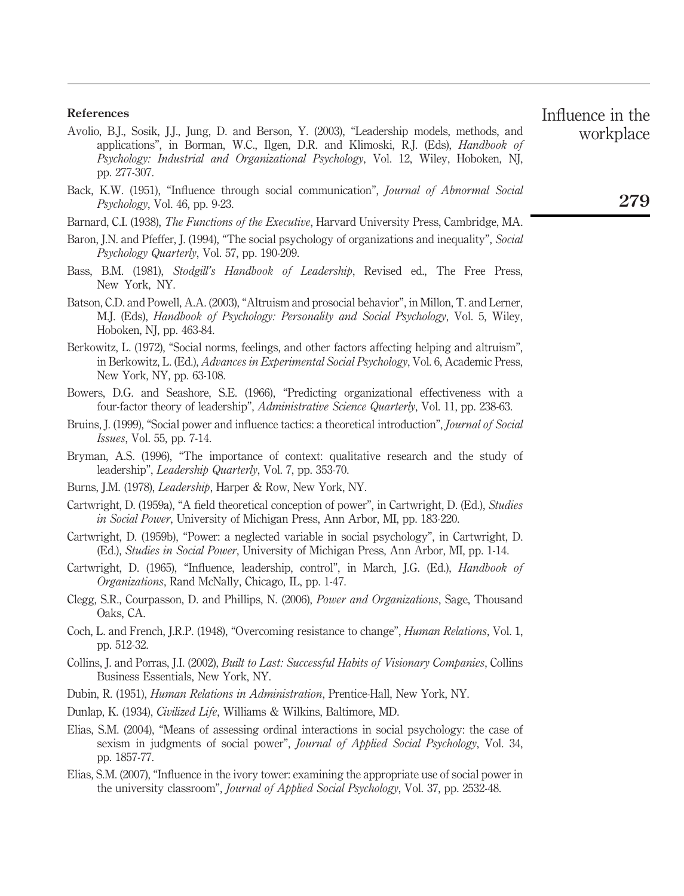#### References

- Avolio, B.J., Sosik, J.J., Jung, D. and Berson, Y. (2003), "Leadership models, methods, and applications", in Borman, W.C., Ilgen, D.R. and Klimoski, R.J. (Eds), Handbook of Psychology: Industrial and Organizational Psychology, Vol. 12, Wiley, Hoboken, NJ, pp. 277-307.
- Back, K.W. (1951), "Influence through social communication", Journal of Abnormal Social Psychology, Vol. 46, pp. 9-23.
- Barnard, C.I. (1938), The Functions of the Executive, Harvard University Press, Cambridge, MA.
- Baron, J.N. and Pfeffer, J. (1994), "The social psychology of organizations and inequality", Social Psychology Quarterly, Vol. 57, pp. 190-209.
- Bass, B.M. (1981), Stodgill's Handbook of Leadership, Revised ed., The Free Press, New York, NY.
- Batson, C.D. and Powell, A.A. (2003), "Altruism and prosocial behavior", in Millon, T. and Lerner, M.J. (Eds), Handbook of Psychology: Personality and Social Psychology, Vol. 5, Wiley, Hoboken, NJ, pp. 463-84.
- Berkowitz, L. (1972), "Social norms, feelings, and other factors affecting helping and altruism", in Berkowitz, L. (Ed.), Advances in Experimental Social Psychology, Vol. 6, Academic Press, New York, NY, pp. 63-108.
- Bowers, D.G. and Seashore, S.E. (1966), "Predicting organizational effectiveness with a four-factor theory of leadership", Administrative Science Quarterly, Vol. 11, pp. 238-63.
- Bruins, J. (1999), "Social power and influence tactics: a theoretical introduction", Journal of Social Issues, Vol. 55, pp. 7-14.
- Bryman, A.S. (1996), "The importance of context: qualitative research and the study of leadership", Leadership Quarterly, Vol. 7, pp. 353-70.
- Burns, J.M. (1978), Leadership, Harper & Row, New York, NY.
- Cartwright, D. (1959a), "A field theoretical conception of power", in Cartwright, D. (Ed.), Studies in Social Power, University of Michigan Press, Ann Arbor, MI, pp. 183-220.
- Cartwright, D. (1959b), "Power: a neglected variable in social psychology", in Cartwright, D. (Ed.), Studies in Social Power, University of Michigan Press, Ann Arbor, MI, pp. 1-14.
- Cartwright, D. (1965), "Influence, leadership, control", in March, J.G. (Ed.), Handbook of Organizations, Rand McNally, Chicago, IL, pp. 1-47.
- Clegg, S.R., Courpasson, D. and Phillips, N. (2006), Power and Organizations, Sage, Thousand Oaks, CA.
- Coch, L. and French, J.R.P. (1948), "Overcoming resistance to change", Human Relations, Vol. 1, pp. 512-32.
- Collins, J. and Porras, J.I. (2002), Built to Last: Successful Habits of Visionary Companies, Collins Business Essentials, New York, NY.
- Dubin, R. (1951), Human Relations in Administration, Prentice-Hall, New York, NY.
- Dunlap, K. (1934), Civilized Life, Williams & Wilkins, Baltimore, MD.
- Elias, S.M. (2004), "Means of assessing ordinal interactions in social psychology: the case of sexism in judgments of social power", Journal of Applied Social Psychology, Vol. 34, pp. 1857-77.
- Elias, S.M. (2007), "Influence in the ivory tower: examining the appropriate use of social power in the university classroom", Journal of Applied Social Psychology, Vol. 37, pp. 2532-48.

Influence in the workplace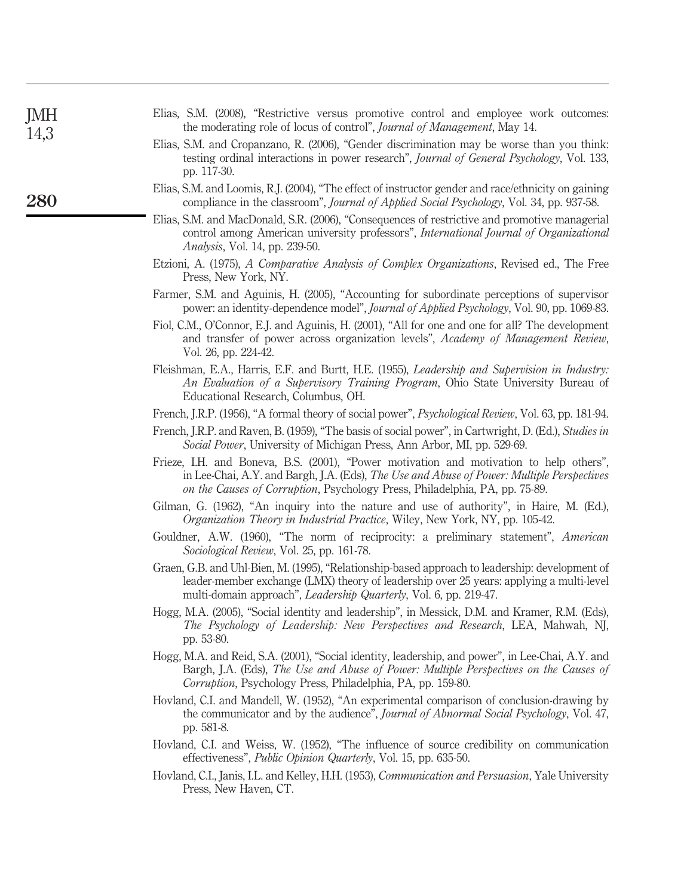| JMH<br>14,3 | Elias, S.M. (2008), "Restrictive versus promotive control and employee work outcomes:<br>the moderating role of locus of control", Journal of Management, May 14.                                                                                                    |
|-------------|----------------------------------------------------------------------------------------------------------------------------------------------------------------------------------------------------------------------------------------------------------------------|
|             | Elias, S.M. and Cropanzano, R. (2006), "Gender discrimination may be worse than you think:<br>testing ordinal interactions in power research", Journal of General Psychology, Vol. 133,<br>pp. 117-30.                                                               |
| 280         | Elias, S.M. and Loomis, R.J. (2004), "The effect of instructor gender and race/ethnicity on gaining<br>compliance in the classroom", Journal of Applied Social Psychology, Vol. 34, pp. 937-58.                                                                      |
|             | Elias, S.M. and MacDonald, S.R. (2006), "Consequences of restrictive and promotive managerial<br>control among American university professors", International Journal of Organizational<br><i>Analysis</i> , Vol. 14, pp. 239-50.                                    |
|             | Etzioni, A. (1975), A Comparative Analysis of Complex Organizations, Revised ed., The Free<br>Press, New York, NY.                                                                                                                                                   |
|             | Farmer, S.M. and Aguinis, H. (2005), "Accounting for subordinate perceptions of supervisor<br>power: an identity-dependence model", Journal of Applied Psychology, Vol. 90, pp. 1069-83.                                                                             |
|             | Fiol, C.M., O'Connor, E.J. and Aguinis, H. (2001), "All for one and one for all? The development<br>and transfer of power across organization levels", Academy of Management Review,<br>Vol. 26, pp. 224-42.                                                         |
|             | Fleishman, E.A., Harris, E.F. and Burtt, H.E. (1955), Leadership and Supervision in Industry:<br>An Evaluation of a Supervisory Training Program, Ohio State University Bureau of<br>Educational Research, Columbus, OH.                                             |
|             | French, J.R.P. (1956), "A formal theory of social power", Psychological Review, Vol. 63, pp. 181-94.                                                                                                                                                                 |
|             | French, J.R.P. and Raven, B. (1959), "The basis of social power", in Cartwright, D. (Ed.), Studies in<br><i>Social Power</i> , University of Michigan Press, Ann Arbor, MI, pp. 529-69.                                                                              |
|             | Frieze, I.H. and Boneva, B.S. (2001), "Power motivation and motivation to help others",<br>in Lee-Chai, A.Y. and Bargh, J.A. (Eds), The Use and Abuse of Power: Multiple Perspectives<br>on the Causes of Corruption, Psychology Press, Philadelphia, PA, pp. 75-89. |
|             | Gilman, G. (1962), "An inquiry into the nature and use of authority", in Haire, M. (Ed.),<br>Organization Theory in Industrial Practice, Wiley, New York, NY, pp. 105-42.                                                                                            |
|             | Gouldner, A.W. (1960), "The norm of reciprocity: a preliminary statement", American<br>Sociological Review, Vol. 25, pp. 161-78.                                                                                                                                     |
|             | Graen, G.B. and Uhl-Bien, M. (1995), "Relationship-based approach to leadership: development of<br>leader-member exchange (LMX) theory of leadership over 25 years: applying a multi-level<br>multi-domain approach", Leadership Quarterly, Vol. 6, pp. 219-47.      |
|             | Hogg, M.A. (2005), "Social identity and leadership", in Messick, D.M. and Kramer, R.M. (Eds),<br>The Psychology of Leadership: New Perspectives and Research, LEA, Mahwah, NJ,<br>pp. 53-80.                                                                         |
|             | Hogg, M.A. and Reid, S.A. (2001), "Social identity, leadership, and power", in Lee-Chai, A.Y. and<br>Bargh, J.A. (Eds), The Use and Abuse of Power: Multiple Perspectives on the Causes of<br>Corruption, Psychology Press, Philadelphia, PA, pp. 159-80.            |
|             | Hovland, C.I. and Mandell, W. (1952), "An experimental comparison of conclusion-drawing by<br>the communicator and by the audience", Journal of Abnormal Social Psychology, Vol. 47,<br>pp. 581-8.                                                                   |
|             | Hovland, C.I. and Weiss, W. (1952), "The influence of source credibility on communication<br>effectiveness", Public Opinion Quarterly, Vol. 15, pp. 635-50.                                                                                                          |
|             | Hovland, C.I., Janis, I.L. and Kelley, H.H. (1953), Communication and Persuasion, Yale University<br>Press, New Haven, CT.                                                                                                                                           |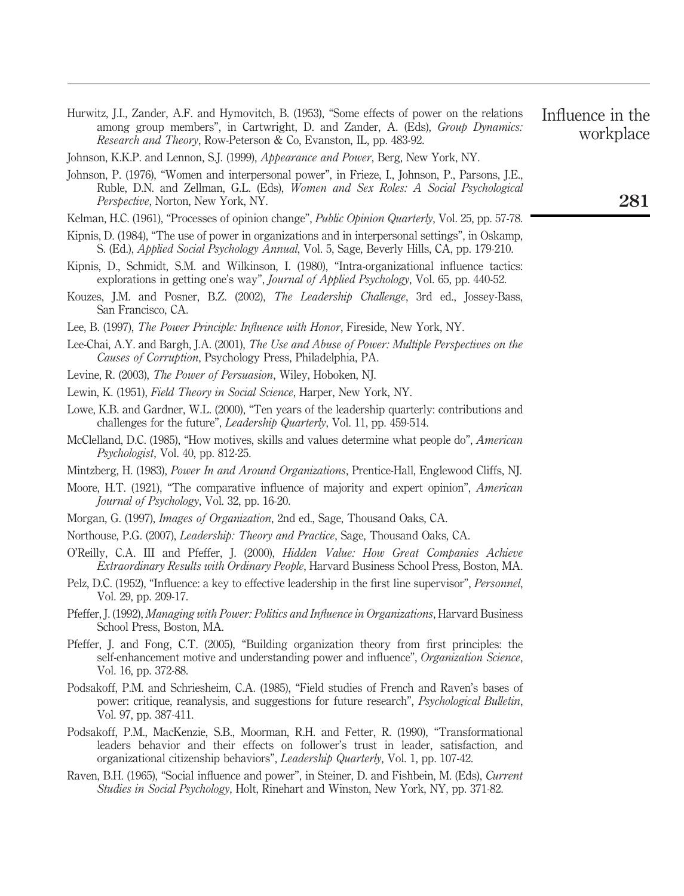Hurwitz, J.I., Zander, A.F. and Hymovitch, B. (1953), "Some effects of power on the relations among group members", in Cartwright, D. and Zander, A. (Eds), Group Dynamics: Research and Theory, Row-Peterson & Co, Evanston, IL, pp. 483-92.

Johnson, K.K.P. and Lennon, S.J. (1999), Appearance and Power, Berg, New York, NY.

- Johnson, P. (1976), "Women and interpersonal power", in Frieze, I., Johnson, P., Parsons, J.E., Ruble, D.N. and Zellman, G.L. (Eds), Women and Sex Roles: A Social Psychological Perspective, Norton, New York, NY.
- Kelman, H.C. (1961), "Processes of opinion change", Public Opinion Quarterly, Vol. 25, pp. 57-78.
- Kipnis, D. (1984), "The use of power in organizations and in interpersonal settings", in Oskamp, S. (Ed.), Applied Social Psychology Annual, Vol. 5, Sage, Beverly Hills, CA, pp. 179-210.
- Kipnis, D., Schmidt, S.M. and Wilkinson, I. (1980), "Intra-organizational influence tactics: explorations in getting one's way", *Journal of Applied Psychology*, Vol. 65, pp. 440-52.
- Kouzes, J.M. and Posner, B.Z. (2002), The Leadership Challenge, 3rd ed., Jossey-Bass, San Francisco, CA.
- Lee, B. (1997), The Power Principle: Influence with Honor, Fireside, New York, NY.
- Lee-Chai, A.Y. and Bargh, J.A. (2001), The Use and Abuse of Power: Multiple Perspectives on the Causes of Corruption, Psychology Press, Philadelphia, PA.
- Levine, R. (2003), The Power of Persuasion, Wiley, Hoboken, NJ.
- Lewin, K. (1951), Field Theory in Social Science, Harper, New York, NY.
- Lowe, K.B. and Gardner, W.L. (2000), "Ten years of the leadership quarterly: contributions and challenges for the future", Leadership Quarterly, Vol. 11, pp. 459-514.
- McClelland, D.C. (1985), "How motives, skills and values determine what people do", *American* Psychologist, Vol. 40, pp. 812-25.
- Mintzberg, H. (1983), Power In and Around Organizations, Prentice-Hall, Englewood Cliffs, NJ.
- Moore, H.T. (1921), "The comparative influence of majority and expert opinion", *American* Journal of Psychology, Vol. 32, pp. 16-20.
- Morgan, G. (1997), Images of Organization, 2nd ed., Sage, Thousand Oaks, CA.
- Northouse, P.G. (2007), Leadership: Theory and Practice, Sage, Thousand Oaks, CA.
- O'Reilly, C.A. III and Pfeffer, J. (2000), Hidden Value: How Great Companies Achieve Extraordinary Results with Ordinary People, Harvard Business School Press, Boston, MA.
- Pelz, D.C. (1952), "Influence: a key to effective leadership in the first line supervisor", *Personnel*, Vol. 29, pp. 209-17.
- Pfeffer, J. (1992), Managing with Power: Politics and Influence in Organizations, Harvard Business School Press, Boston, MA.
- Pfeffer, J. and Fong, C.T. (2005), "Building organization theory from first principles: the self-enhancement motive and understanding power and influence", Organization Science, Vol. 16, pp. 372-88.
- Podsakoff, P.M. and Schriesheim, C.A. (1985), "Field studies of French and Raven's bases of power: critique, reanalysis, and suggestions for future research", Psychological Bulletin, Vol. 97, pp. 387-411.
- Podsakoff, P.M., MacKenzie, S.B., Moorman, R.H. and Fetter, R. (1990), "Transformational leaders behavior and their effects on follower's trust in leader, satisfaction, and organizational citizenship behaviors", Leadership Quarterly, Vol. 1, pp. 107-42.
- Raven, B.H. (1965), "Social influence and power", in Steiner, D. and Fishbein, M. (Eds), Current Studies in Social Psychology, Holt, Rinehart and Winston, New York, NY, pp. 371-82.

Influence in the workplace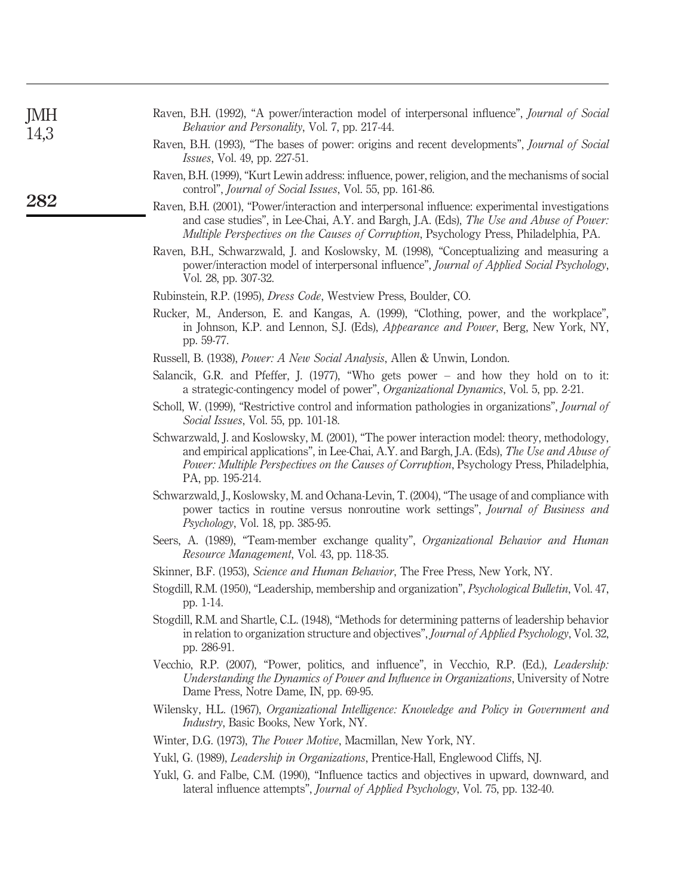| <b>JMH</b><br>14,3 | Raven, B.H. (1992), "A power/interaction model of interpersonal influence", Journal of Social<br>Behavior and Personality, Vol. 7, pp. 217-44.                                                                                                                                                              |  |
|--------------------|-------------------------------------------------------------------------------------------------------------------------------------------------------------------------------------------------------------------------------------------------------------------------------------------------------------|--|
| 282                | Raven, B.H. (1993), "The bases of power: origins and recent developments", Journal of Social<br><i>Issues</i> , Vol. 49, pp. 227-51.                                                                                                                                                                        |  |
|                    | Raven, B.H. (1999), "Kurt Lewin address: influence, power, religion, and the mechanisms of social<br>control", <i>Journal of Social Issues</i> , Vol. 55, pp. 161-86.                                                                                                                                       |  |
|                    | Raven, B.H. (2001), "Power/interaction and interpersonal influence: experimental investigations<br>and case studies", in Lee-Chai, A.Y. and Bargh, J.A. (Eds), The Use and Abuse of Power:<br>Multiple Perspectives on the Causes of Corruption, Psychology Press, Philadelphia, PA.                        |  |
|                    | Raven, B.H., Schwarzwald, J. and Koslowsky, M. (1998), "Conceptualizing and measuring a<br>power/interaction model of interpersonal influence", Journal of Applied Social Psychology,<br>Vol. 28, pp. 307-32.                                                                                               |  |
|                    | Rubinstein, R.P. (1995), <i>Dress Code</i> , Westview Press, Boulder, CO.                                                                                                                                                                                                                                   |  |
|                    | Rucker, M., Anderson, E. and Kangas, A. (1999), "Clothing, power, and the workplace",<br>in Johnson, K.P. and Lennon, S.J. (Eds), <i>Appearance and Power</i> , Berg, New York, NY,<br>pp. 59-77.                                                                                                           |  |
|                    | Russell, B. (1938), Power: A New Social Analysis, Allen & Unwin, London.                                                                                                                                                                                                                                    |  |
|                    | Salancik, G.R. and Pfeffer, J. (1977), "Who gets power – and how they hold on to it:<br>a strategic-contingency model of power", <i>Organizational Dynamics</i> , Vol. 5, pp. 2-21.                                                                                                                         |  |
|                    | Scholl, W. (1999), "Restrictive control and information pathologies in organizations", <i>Journal of</i><br><i>Social Issues, Vol. 55, pp. 101-18.</i>                                                                                                                                                      |  |
|                    | Schwarzwald, J. and Koslowsky, M. (2001), "The power interaction model: theory, methodology,<br>and empirical applications", in Lee-Chai, A.Y. and Bargh, J.A. (Eds), The Use and Abuse of<br>Power: Multiple Perspectives on the Causes of Corruption, Psychology Press, Philadelphia,<br>PA, pp. 195-214. |  |
|                    | Schwarzwald, J., Koslowsky, M. and Ochana-Levin, T. (2004), "The usage of and compliance with<br>power tactics in routine versus nonroutine work settings", Journal of Business and<br><i>Psychology</i> , Vol. 18, pp. 385-95.                                                                             |  |
|                    | Seers, A. (1989), "Team-member exchange quality", Organizational Behavior and Human<br>Resource Management, Vol. 43, pp. 118-35.                                                                                                                                                                            |  |
|                    | Skinner, B.F. (1953), Science and Human Behavior, The Free Press, New York, NY.                                                                                                                                                                                                                             |  |
|                    | Stogdill, R.M. (1950), "Leadership, membership and organization", Psychological Bulletin, Vol. 47,<br>pp. 1-14.                                                                                                                                                                                             |  |
|                    | Stogdill, R.M. and Shartle, C.L. (1948), "Methods for determining patterns of leadership behavior<br>in relation to organization structure and objectives", Journal of Applied Psychology, Vol. 32,<br>pp. 286-91.                                                                                          |  |
|                    | Vecchio, R.P. (2007), "Power, politics, and influence", in Vecchio, R.P. (Ed.), Leadership:<br>Understanding the Dynamics of Power and Influence in Organizations, University of Notre<br>Dame Press, Notre Dame, IN, pp. 69-95.                                                                            |  |
|                    | Wilensky, H.L. (1967), <i>Organizational Intelligence: Knowledge and Policy in Government and</i><br><i>Industry</i> , Basic Books, New York, NY.                                                                                                                                                           |  |
|                    | Winter, D.G. (1973), <i>The Power Motive</i> , Macmillan, New York, NY.                                                                                                                                                                                                                                     |  |
|                    | Yukl, G. (1989), <i>Leadership in Organizations</i> , Prentice-Hall, Englewood Cliffs, NJ.                                                                                                                                                                                                                  |  |
|                    | Yukl, G. and Falbe, C.M. (1990), "Influence tactics and objectives in upward, downward, and<br>lateral influence attempts", Journal of Applied Psychology, Vol. 75, pp. 132-40.                                                                                                                             |  |
|                    |                                                                                                                                                                                                                                                                                                             |  |